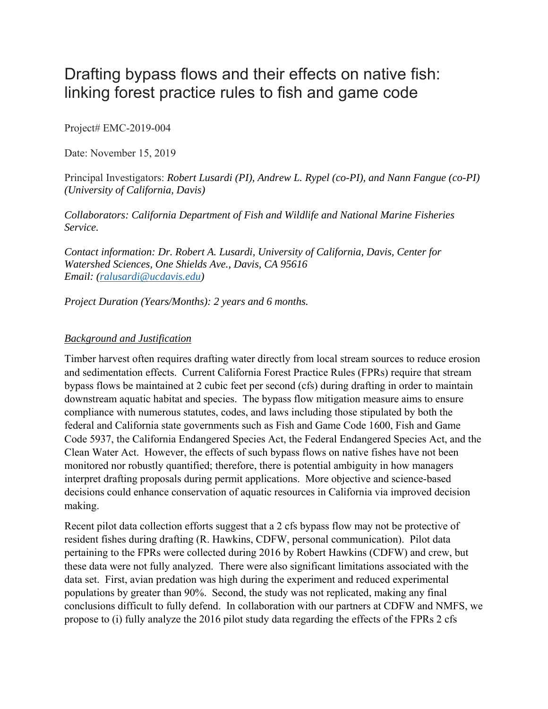# Drafting bypass flows and their effects on native fish: linking forest practice rules to fish and game code

Project# EMC-2019-004

Date: November 15, 2019

Principal Investigators: *Robert Lusardi (PI), Andrew L. Rypel (co-PI), and Nann Fangue (co-PI) (University of California, Davis)* 

*Collaborators: California Department of Fish and Wildlife and National Marine Fisheries Service.* 

*Contact information: Dr. Robert A. Lusardi, University of California, Davis, Center for Watershed Sciences, One Shields Ave., Davis, CA 95616 Email: (ralusardi@ucdavis.edu)* 

*Project Duration (Years/Months): 2 years and 6 months.* 

#### *Background and Justification*

Timber harvest often requires drafting water directly from local stream sources to reduce erosion and sedimentation effects. Current California Forest Practice Rules (FPRs) require that stream bypass flows be maintained at 2 cubic feet per second (cfs) during drafting in order to maintain downstream aquatic habitat and species. The bypass flow mitigation measure aims to ensure compliance with numerous statutes, codes, and laws including those stipulated by both the federal and California state governments such as Fish and Game Code 1600, Fish and Game Code 5937, the California Endangered Species Act, the Federal Endangered Species Act, and the Clean Water Act. However, the effects of such bypass flows on native fishes have not been monitored nor robustly quantified; therefore, there is potential ambiguity in how managers interpret drafting proposals during permit applications. More objective and science-based decisions could enhance conservation of aquatic resources in California via improved decision making.

Recent pilot data collection efforts suggest that a 2 cfs bypass flow may not be protective of resident fishes during drafting (R. Hawkins, CDFW, personal communication). Pilot data pertaining to the FPRs were collected during 2016 by Robert Hawkins (CDFW) and crew, but these data were not fully analyzed. There were also significant limitations associated with the data set. First, avian predation was high during the experiment and reduced experimental populations by greater than 90%. Second, the study was not replicated, making any final conclusions difficult to fully defend. In collaboration with our partners at CDFW and NMFS, we propose to (i) fully analyze the 2016 pilot study data regarding the effects of the FPRs 2 cfs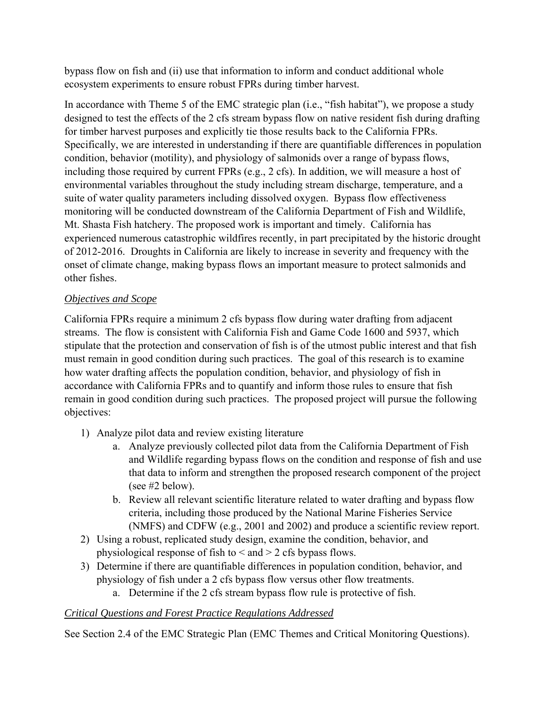bypass flow on fish and (ii) use that information to inform and conduct additional whole ecosystem experiments to ensure robust FPRs during timber harvest.

In accordance with Theme 5 of the EMC strategic plan (i.e., "fish habitat"), we propose a study designed to test the effects of the 2 cfs stream bypass flow on native resident fish during drafting for timber harvest purposes and explicitly tie those results back to the California FPRs. Specifically, we are interested in understanding if there are quantifiable differences in population condition, behavior (motility), and physiology of salmonids over a range of bypass flows, including those required by current FPRs (e.g., 2 cfs). In addition, we will measure a host of environmental variables throughout the study including stream discharge, temperature, and a suite of water quality parameters including dissolved oxygen. Bypass flow effectiveness monitoring will be conducted downstream of the California Department of Fish and Wildlife, Mt. Shasta Fish hatchery. The proposed work is important and timely. California has experienced numerous catastrophic wildfires recently, in part precipitated by the historic drought of 2012-2016. Droughts in California are likely to increase in severity and frequency with the onset of climate change, making bypass flows an important measure to protect salmonids and other fishes.

# *Objectives and Scope*

California FPRs require a minimum 2 cfs bypass flow during water drafting from adjacent streams. The flow is consistent with California Fish and Game Code 1600 and 5937, which stipulate that the protection and conservation of fish is of the utmost public interest and that fish must remain in good condition during such practices. The goal of this research is to examine how water drafting affects the population condition, behavior, and physiology of fish in accordance with California FPRs and to quantify and inform those rules to ensure that fish remain in good condition during such practices. The proposed project will pursue the following objectives:

- 1) Analyze pilot data and review existing literature
	- a. Analyze previously collected pilot data from the California Department of Fish and Wildlife regarding bypass flows on the condition and response of fish and use that data to inform and strengthen the proposed research component of the project (see #2 below).
	- b. Review all relevant scientific literature related to water drafting and bypass flow criteria, including those produced by the National Marine Fisheries Service (NMFS) and CDFW (e.g., 2001 and 2002) and produce a scientific review report.
- 2) Using a robust, replicated study design, examine the condition, behavior, and physiological response of fish to  $\leq$  and  $\geq$  2 cfs bypass flows.
- 3) Determine if there are quantifiable differences in population condition, behavior, and physiology of fish under a 2 cfs bypass flow versus other flow treatments.
	- a. Determine if the 2 cfs stream bypass flow rule is protective of fish.

# *Critical Questions and Forest Practice Regulations Addressed*

See Section 2.4 of the EMC Strategic Plan (EMC Themes and Critical Monitoring Questions).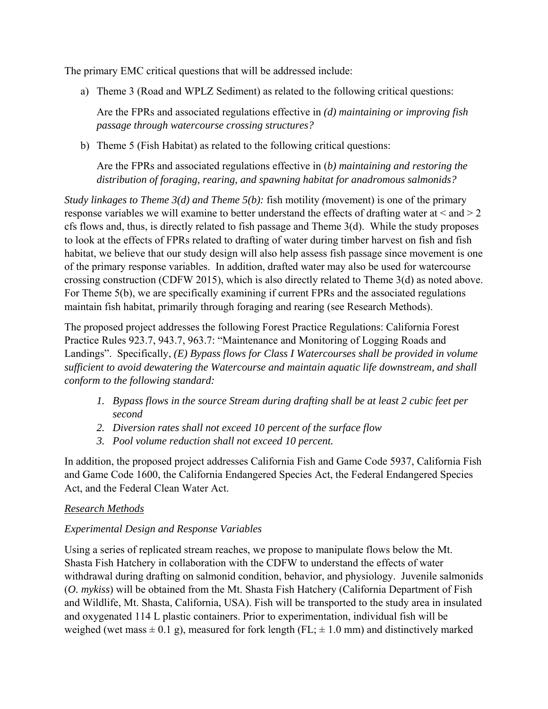The primary EMC critical questions that will be addressed include:

a) Theme 3 (Road and WPLZ Sediment) as related to the following critical questions:

Are the FPRs and associated regulations effective in *(d) maintaining or improving fish passage through watercourse crossing structures?* 

b) Theme 5 (Fish Habitat) as related to the following critical questions:

Are the FPRs and associated regulations effective in (*b) maintaining and restoring the distribution of foraging, rearing, and spawning habitat for anadromous salmonids?* 

*Study linkages to Theme 3(d) and Theme 5(b):* fish motility *(*movement) is one of the primary response variables we will examine to better understand the effects of drafting water at  $\leq$  and  $\geq$  2 cfs flows and, thus, is directly related to fish passage and Theme 3(d). While the study proposes to look at the effects of FPRs related to drafting of water during timber harvest on fish and fish habitat, we believe that our study design will also help assess fish passage since movement is one of the primary response variables. In addition, drafted water may also be used for watercourse crossing construction (CDFW 2015), which is also directly related to Theme 3(d) as noted above. For Theme 5(b), we are specifically examining if current FPRs and the associated regulations maintain fish habitat, primarily through foraging and rearing (see Research Methods).

The proposed project addresses the following Forest Practice Regulations: California Forest Practice Rules 923.7, 943.7, 963.7: "Maintenance and Monitoring of Logging Roads and Landings". Specifically, *(E) Bypass flows for Class I Watercourses shall be provided in volume sufficient to avoid dewatering the Watercourse and maintain aquatic life downstream, and shall conform to the following standard:* 

- *1. Bypass flows in the source Stream during drafting shall be at least 2 cubic feet per second*
- *2. Diversion rates shall not exceed 10 percent of the surface flow*
- *3. Pool volume reduction shall not exceed 10 percent.*

In addition, the proposed project addresses California Fish and Game Code 5937, California Fish and Game Code 1600, the California Endangered Species Act, the Federal Endangered Species Act, and the Federal Clean Water Act.

## *Research Methods*

# *Experimental Design and Response Variables*

Using a series of replicated stream reaches, we propose to manipulate flows below the Mt. Shasta Fish Hatchery in collaboration with the CDFW to understand the effects of water withdrawal during drafting on salmonid condition, behavior, and physiology. Juvenile salmonids (*O. mykiss*) will be obtained from the Mt. Shasta Fish Hatchery (California Department of Fish and Wildlife, Mt. Shasta, California, USA). Fish will be transported to the study area in insulated and oxygenated 114 L plastic containers. Prior to experimentation, individual fish will be weighed (wet mass  $\pm$  0.1 g), measured for fork length (FL;  $\pm$  1.0 mm) and distinctively marked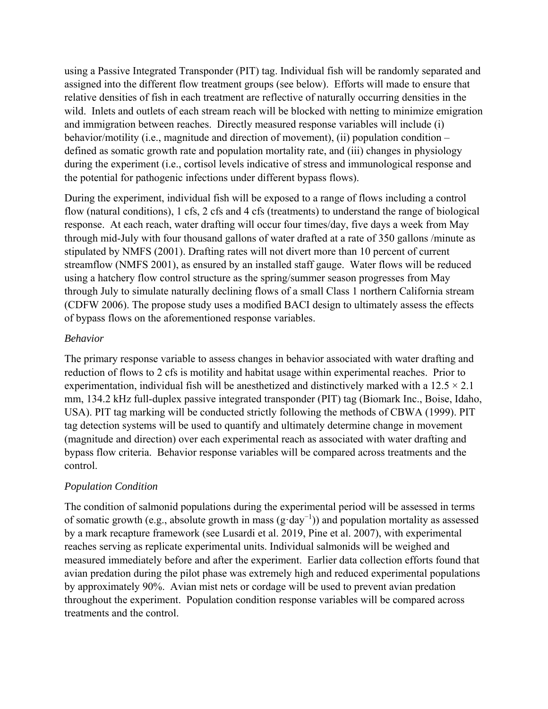using a Passive Integrated Transponder (PIT) tag. Individual fish will be randomly separated and assigned into the different flow treatment groups (see below). Efforts will made to ensure that relative densities of fish in each treatment are reflective of naturally occurring densities in the wild. Inlets and outlets of each stream reach will be blocked with netting to minimize emigration and immigration between reaches. Directly measured response variables will include (i) behavior/motility (i.e., magnitude and direction of movement), (ii) population condition – defined as somatic growth rate and population mortality rate, and (iii) changes in physiology during the experiment (i.e., cortisol levels indicative of stress and immunological response and the potential for pathogenic infections under different bypass flows).

During the experiment, individual fish will be exposed to a range of flows including a control flow (natural conditions), 1 cfs, 2 cfs and 4 cfs (treatments) to understand the range of biological response. At each reach, water drafting will occur four times/day, five days a week from May through mid-July with four thousand gallons of water drafted at a rate of 350 gallons /minute as stipulated by NMFS (2001). Drafting rates will not divert more than 10 percent of current streamflow (NMFS 2001), as ensured by an installed staff gauge. Water flows will be reduced using a hatchery flow control structure as the spring/summer season progresses from May through July to simulate naturally declining flows of a small Class 1 northern California stream (CDFW 2006). The propose study uses a modified BACI design to ultimately assess the effects of bypass flows on the aforementioned response variables.

## *Behavior*

The primary response variable to assess changes in behavior associated with water drafting and reduction of flows to 2 cfs is motility and habitat usage within experimental reaches. Prior to experimentation, individual fish will be anesthetized and distinctively marked with a  $12.5 \times 2.1$ mm, 134.2 kHz full-duplex passive integrated transponder (PIT) tag (Biomark Inc., Boise, Idaho, USA). PIT tag marking will be conducted strictly following the methods of CBWA (1999). PIT tag detection systems will be used to quantify and ultimately determine change in movement (magnitude and direction) over each experimental reach as associated with water drafting and bypass flow criteria. Behavior response variables will be compared across treatments and the control.

## *Population Condition*

The condition of salmonid populations during the experimental period will be assessed in terms of somatic growth (e.g., absolute growth in mass (gꞏday−1)) and population mortality as assessed by a mark recapture framework (see Lusardi et al. 2019, Pine et al. 2007), with experimental reaches serving as replicate experimental units. Individual salmonids will be weighed and measured immediately before and after the experiment. Earlier data collection efforts found that avian predation during the pilot phase was extremely high and reduced experimental populations by approximately 90%. Avian mist nets or cordage will be used to prevent avian predation throughout the experiment. Population condition response variables will be compared across treatments and the control.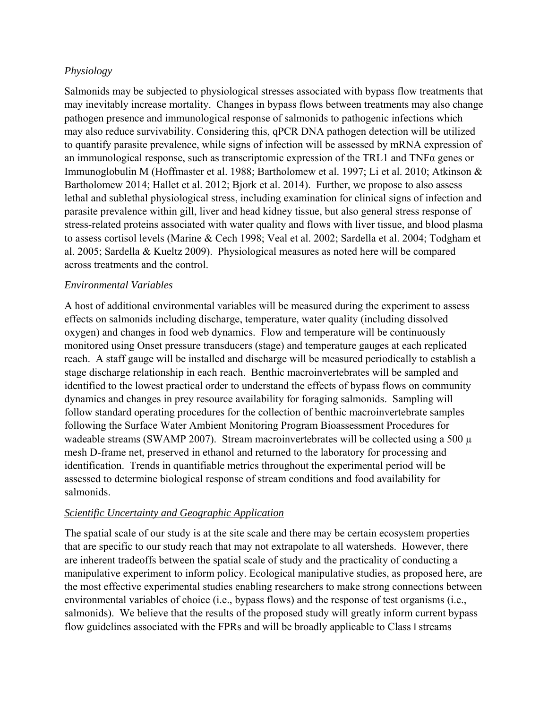## *Physiology*

Salmonids may be subjected to physiological stresses associated with bypass flow treatments that may inevitably increase mortality. Changes in bypass flows between treatments may also change pathogen presence and immunological response of salmonids to pathogenic infections which may also reduce survivability. Considering this, qPCR DNA pathogen detection will be utilized to quantify parasite prevalence, while signs of infection will be assessed by mRNA expression of an immunological response, such as transcriptomic expression of the TRL1 and TNFα genes or Immunoglobulin M (Hoffmaster et al. 1988; Bartholomew et al. 1997; Li et al. 2010; Atkinson & Bartholomew 2014; Hallet et al. 2012; Bjork et al. 2014). Further, we propose to also assess lethal and sublethal physiological stress, including examination for clinical signs of infection and parasite prevalence within gill, liver and head kidney tissue, but also general stress response of stress-related proteins associated with water quality and flows with liver tissue, and blood plasma to assess cortisol levels (Marine & Cech 1998; Veal et al. 2002; Sardella et al. 2004; Todgham et al. 2005; Sardella & Kueltz 2009). Physiological measures as noted here will be compared across treatments and the control.

## *Environmental Variables*

A host of additional environmental variables will be measured during the experiment to assess effects on salmonids including discharge, temperature, water quality (including dissolved oxygen) and changes in food web dynamics. Flow and temperature will be continuously monitored using Onset pressure transducers (stage) and temperature gauges at each replicated reach. A staff gauge will be installed and discharge will be measured periodically to establish a stage discharge relationship in each reach. Benthic macroinvertebrates will be sampled and identified to the lowest practical order to understand the effects of bypass flows on community dynamics and changes in prey resource availability for foraging salmonids. Sampling will follow standard operating procedures for the collection of benthic macroinvertebrate samples following the Surface Water Ambient Monitoring Program Bioassessment Procedures for wadeable streams (SWAMP 2007). Stream macroinvertebrates will be collected using a 500  $\mu$ mesh D-frame net, preserved in ethanol and returned to the laboratory for processing and identification. Trends in quantifiable metrics throughout the experimental period will be assessed to determine biological response of stream conditions and food availability for salmonids.

#### *Scientific Uncertainty and Geographic Application*

The spatial scale of our study is at the site scale and there may be certain ecosystem properties that are specific to our study reach that may not extrapolate to all watersheds. However, there are inherent tradeoffs between the spatial scale of study and the practicality of conducting a manipulative experiment to inform policy. Ecological manipulative studies, as proposed here, are the most effective experimental studies enabling researchers to make strong connections between environmental variables of choice (i.e., bypass flows) and the response of test organisms (i.e., salmonids). We believe that the results of the proposed study will greatly inform current bypass flow guidelines associated with the FPRs and will be broadly applicable to Class I streams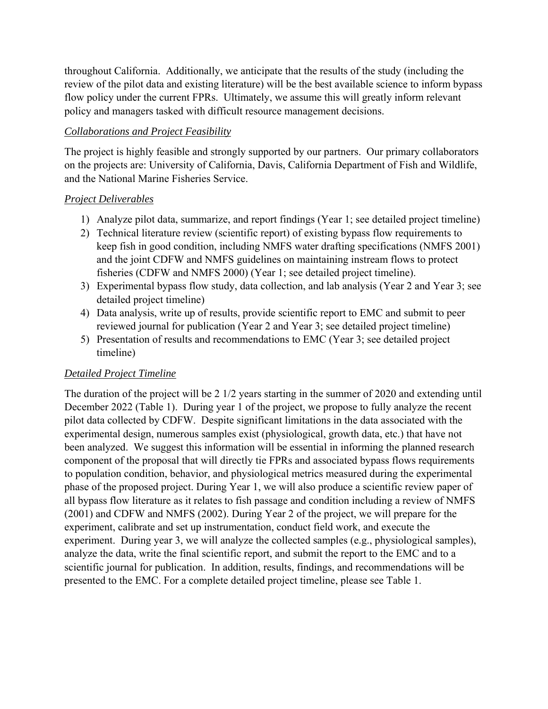throughout California. Additionally, we anticipate that the results of the study (including the review of the pilot data and existing literature) will be the best available science to inform bypass flow policy under the current FPRs. Ultimately, we assume this will greatly inform relevant policy and managers tasked with difficult resource management decisions.

# *Collaborations and Project Feasibility*

The project is highly feasible and strongly supported by our partners. Our primary collaborators on the projects are: University of California, Davis, California Department of Fish and Wildlife, and the National Marine Fisheries Service.

## *Project Deliverables*

- 1) Analyze pilot data, summarize, and report findings (Year 1; see detailed project timeline)
- 2) Technical literature review (scientific report) of existing bypass flow requirements to keep fish in good condition, including NMFS water drafting specifications (NMFS 2001) and the joint CDFW and NMFS guidelines on maintaining instream flows to protect fisheries (CDFW and NMFS 2000) (Year 1; see detailed project timeline).
- 3) Experimental bypass flow study, data collection, and lab analysis (Year 2 and Year 3; see detailed project timeline)
- 4) Data analysis, write up of results, provide scientific report to EMC and submit to peer reviewed journal for publication (Year 2 and Year 3; see detailed project timeline)
- 5) Presentation of results and recommendations to EMC (Year 3; see detailed project timeline)

## *Detailed Project Timeline*

The duration of the project will be 2 1/2 years starting in the summer of 2020 and extending until December 2022 (Table 1). During year 1 of the project, we propose to fully analyze the recent pilot data collected by CDFW. Despite significant limitations in the data associated with the experimental design, numerous samples exist (physiological, growth data, etc.) that have not been analyzed. We suggest this information will be essential in informing the planned research component of the proposal that will directly tie FPRs and associated bypass flows requirements to population condition, behavior, and physiological metrics measured during the experimental phase of the proposed project. During Year 1, we will also produce a scientific review paper of all bypass flow literature as it relates to fish passage and condition including a review of NMFS (2001) and CDFW and NMFS (2002). During Year 2 of the project, we will prepare for the experiment, calibrate and set up instrumentation, conduct field work, and execute the experiment. During year 3, we will analyze the collected samples (e.g., physiological samples), analyze the data, write the final scientific report, and submit the report to the EMC and to a scientific journal for publication. In addition, results, findings, and recommendations will be presented to the EMC. For a complete detailed project timeline, please see Table 1.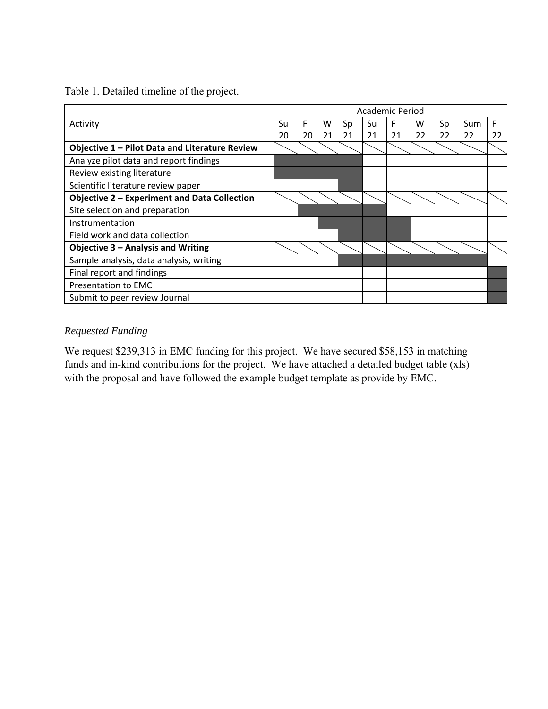Table 1. Detailed timeline of the project.

|                                                     |    | Academic Period |    |    |    |    |    |    |     |    |
|-----------------------------------------------------|----|-----------------|----|----|----|----|----|----|-----|----|
| Activity                                            | Su | F               | w  | Sp | Su | F  | w  | Sp | Sum | F  |
|                                                     | 20 | 20              | 21 | 21 | 21 | 21 | 22 | 22 | 22  | 22 |
| Objective 1 - Pilot Data and Literature Review      |    |                 |    |    |    |    |    |    |     |    |
| Analyze pilot data and report findings              |    |                 |    |    |    |    |    |    |     |    |
| Review existing literature                          |    |                 |    |    |    |    |    |    |     |    |
| Scientific literature review paper                  |    |                 |    |    |    |    |    |    |     |    |
| <b>Objective 2 - Experiment and Data Collection</b> |    |                 |    |    |    |    |    |    |     |    |
| Site selection and preparation                      |    |                 |    |    |    |    |    |    |     |    |
| Instrumentation                                     |    |                 |    |    |    |    |    |    |     |    |
| Field work and data collection                      |    |                 |    |    |    |    |    |    |     |    |
| <b>Objective 3 - Analysis and Writing</b>           |    |                 |    |    |    |    |    |    |     |    |
| Sample analysis, data analysis, writing             |    |                 |    |    |    |    |    |    |     |    |
| Final report and findings                           |    |                 |    |    |    |    |    |    |     |    |
| Presentation to EMC                                 |    |                 |    |    |    |    |    |    |     |    |
| Submit to peer review Journal                       |    |                 |    |    |    |    |    |    |     |    |

# *Requested Funding*

We request \$239,313 in EMC funding for this project. We have secured \$58,153 in matching funds and in-kind contributions for the project. We have attached a detailed budget table (xls) with the proposal and have followed the example budget template as provide by EMC.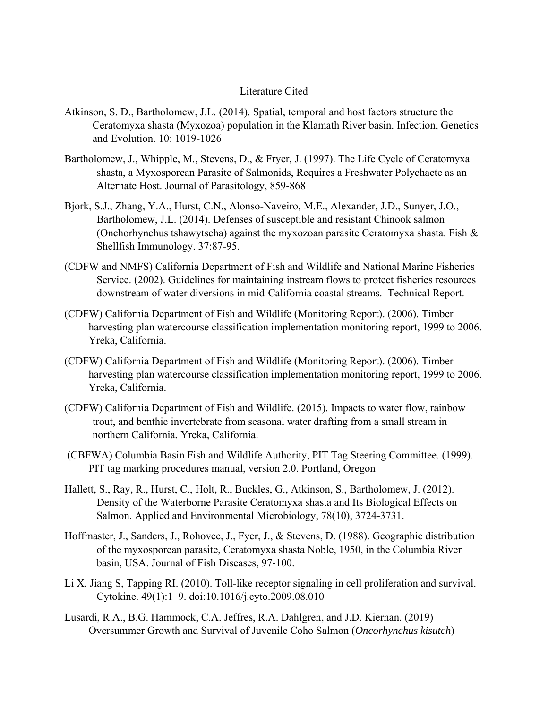#### Literature Cited

- Atkinson, S. D., Bartholomew, J.L. (2014). Spatial, temporal and host factors structure the Ceratomyxa shasta (Myxozoa) population in the Klamath River basin. Infection, Genetics and Evolution. 10: 1019-1026
- Bartholomew, J., Whipple, M., Stevens, D., & Fryer, J. (1997). The Life Cycle of Ceratomyxa shasta, a Myxosporean Parasite of Salmonids, Requires a Freshwater Polychaete as an Alternate Host. Journal of Parasitology, 859-868
- Bjork, S.J., Zhang, Y.A., Hurst, C.N., Alonso-Naveiro, M.E., Alexander, J.D., Sunyer, J.O., Bartholomew, J.L. (2014). Defenses of susceptible and resistant Chinook salmon (Onchorhynchus tshawytscha) against the myxozoan parasite Ceratomyxa shasta. Fish & Shellfish Immunology. 37:87-95.
- (CDFW and NMFS) California Department of Fish and Wildlife and National Marine Fisheries Service. (2002). Guidelines for maintaining instream flows to protect fisheries resources downstream of water diversions in mid-California coastal streams. Technical Report.
- (CDFW) California Department of Fish and Wildlife (Monitoring Report). (2006). Timber harvesting plan watercourse classification implementation monitoring report, 1999 to 2006. Yreka, California.
- (CDFW) California Department of Fish and Wildlife (Monitoring Report). (2006). Timber harvesting plan watercourse classification implementation monitoring report, 1999 to 2006. Yreka, California.
- (CDFW) California Department of Fish and Wildlife. (2015)*.* Impacts to water flow, rainbow trout, and benthic invertebrate from seasonal water drafting from a small stream in northern California*.* Yreka, California.
- (CBFWA) Columbia Basin Fish and Wildlife Authority, PIT Tag Steering Committee. (1999). PIT tag marking procedures manual, version 2.0. Portland, Oregon
- Hallett, S., Ray, R., Hurst, C., Holt, R., Buckles, G., Atkinson, S., Bartholomew, J. (2012). Density of the Waterborne Parasite Ceratomyxa shasta and Its Biological Effects on Salmon. Applied and Environmental Microbiology, 78(10), 3724-3731.
- Hoffmaster, J., Sanders, J., Rohovec, J., Fyer, J., & Stevens, D. (1988). Geographic distribution of the myxosporean parasite, Ceratomyxa shasta Noble, 1950, in the Columbia River basin, USA. Journal of Fish Diseases, 97-100.
- Li X, Jiang S, Tapping RI. (2010). Toll-like receptor signaling in cell proliferation and survival. Cytokine. 49(1):1–9. doi:10.1016/j.cyto.2009.08.010
- Lusardi, R.A., B.G. Hammock, C.A. Jeffres, R.A. Dahlgren, and J.D. Kiernan. (2019) Oversummer Growth and Survival of Juvenile Coho Salmon (*Oncorhynchus kisutch*)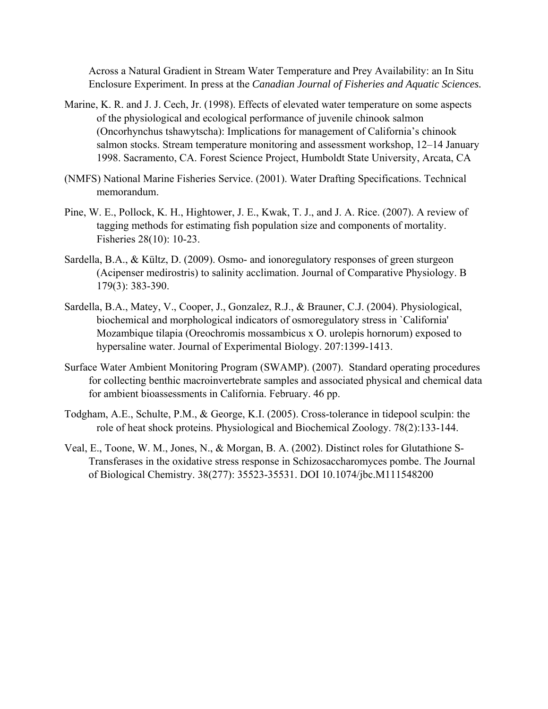Across a Natural Gradient in Stream Water Temperature and Prey Availability: an In Situ Enclosure Experiment. In press at the *Canadian Journal of Fisheries and Aquatic Sciences.* 

- Marine, K. R. and J. J. Cech, Jr. (1998). Effects of elevated water temperature on some aspects of the physiological and ecological performance of juvenile chinook salmon (Oncorhynchus tshawytscha): Implications for management of California's chinook salmon stocks. Stream temperature monitoring and assessment workshop, 12–14 January 1998. Sacramento, CA. Forest Science Project, Humboldt State University, Arcata, CA
- (NMFS) National Marine Fisheries Service. (2001). Water Drafting Specifications. Technical memorandum.
- Pine, W. E., Pollock, K. H., Hightower, J. E., Kwak, T. J., and J. A. Rice. (2007). A review of tagging methods for estimating fish population size and components of mortality. Fisheries 28(10): 10-23.
- Sardella, B.A., & Kültz, D. (2009). Osmo- and ionoregulatory responses of green sturgeon (Acipenser medirostris) to salinity acclimation. Journal of Comparative Physiology. B 179(3): 383-390.
- Sardella, B.A., Matey, V., Cooper, J., Gonzalez, R.J., & Brauner, C.J. (2004). Physiological, biochemical and morphological indicators of osmoregulatory stress in `California' Mozambique tilapia (Oreochromis mossambicus x O. urolepis hornorum) exposed to hypersaline water. Journal of Experimental Biology. 207:1399-1413.
- Surface Water Ambient Monitoring Program (SWAMP). (2007). Standard operating procedures for collecting benthic macroinvertebrate samples and associated physical and chemical data for ambient bioassessments in California. February. 46 pp.
- Todgham, A.E., Schulte, P.M., & George, K.I. (2005). Cross-tolerance in tidepool sculpin: the role of heat shock proteins. Physiological and Biochemical Zoology. 78(2):133-144.
- Veal, E., Toone, W. M., Jones, N., & Morgan, B. A. (2002). Distinct roles for Glutathione S-Transferases in the oxidative stress response in Schizosaccharomyces pombe. The Journal of Biological Chemistry. 38(277): 35523-35531. DOI 10.1074/jbc.M111548200